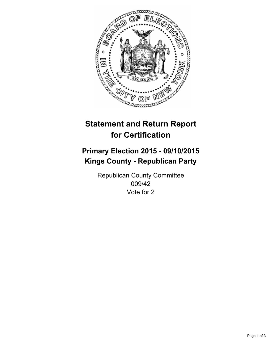

# **Statement and Return Report for Certification**

## **Primary Election 2015 - 09/10/2015 Kings County - Republican Party**

Republican County Committee 009/42 Vote for 2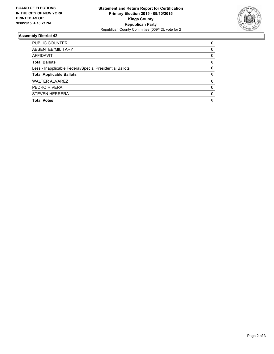

#### **Assembly District 42**

| PUBLIC COUNTER                                           | 0        |
|----------------------------------------------------------|----------|
| ABSENTEE/MILITARY                                        | 0        |
| AFFIDAVIT                                                | 0        |
| <b>Total Ballots</b>                                     | 0        |
| Less - Inapplicable Federal/Special Presidential Ballots | 0        |
| <b>Total Applicable Ballots</b>                          | 0        |
| <b>WALTER ALVAREZ</b>                                    | 0        |
| PEDRO RIVERA                                             | $\Omega$ |
| <b>STEVEN HERRERA</b>                                    | $\Omega$ |
| <b>Total Votes</b>                                       | 0        |